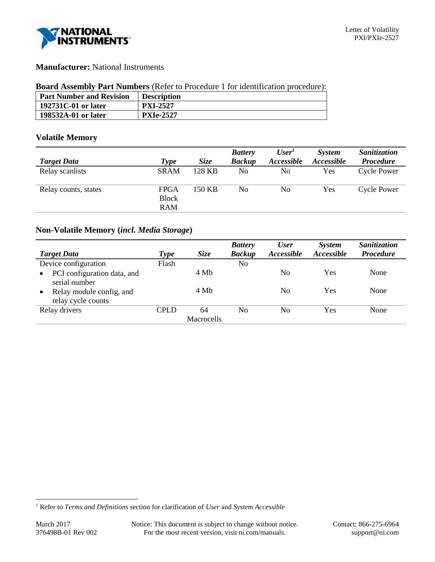

## **Manufacturer:** National Instruments

### **Board Assembly Part Numbers** (Refer to Procedure 1 for identification procedure):

| <b>Part Number and Revision</b> | <b>Description</b> |
|---------------------------------|--------------------|
| 192731C-01 or later             | <b>PXI-2527</b>    |
| 198532A-01 or later             | <b>PXIe-2527</b>   |

### **Volatile Memory**

|                      |                                    |             | <b>Battery</b> | User <sup>T</sup> | <i>System</i> | <b>Sanitization</b> |
|----------------------|------------------------------------|-------------|----------------|-------------------|---------------|---------------------|
| <b>Target Data</b>   | <b>Type</b>                        | <i>Size</i> | <b>Backup</b>  | Accessible        | Accessible    | <b>Procedure</b>    |
| Relay scanlists      | <b>SRAM</b>                        | 128 KB      | No             | No                | Yes           | <b>Cycle Power</b>  |
| Relay counts, states | <b>FPGA</b><br><b>Block</b><br>RAM | 150 KB      | No             | No                | Yes           | <b>Cycle Power</b>  |

# **Non-Volatile Memory (***incl. Media Storage***)**

|                                          |             |             | <b>Battery</b> | <b>User</b> | <b>System</b> | Sanitization     |
|------------------------------------------|-------------|-------------|----------------|-------------|---------------|------------------|
| <b>Target Data</b>                       | Type        | <i>Size</i> | <b>Backup</b>  | Accessible  | Accessible    | <b>Procedure</b> |
| Device configuration                     | Flash       |             | No             |             |               |                  |
| PCI configuration data, and<br>$\bullet$ |             | 4 Mb        |                | No          | Yes           | None             |
| serial number                            |             |             |                |             |               |                  |
| Relay module config, and<br>$\bullet$    |             | 4 Mb        |                | No          | Yes           | None             |
| relay cycle counts                       |             |             |                |             |               |                  |
| Relay drivers                            | <b>CPLD</b> | 64          | No             | No          | Yes           | None             |
|                                          |             | Macrocells  |                |             |               |                  |

l

<sup>1</sup> Refer to *Terms and Definitions* section for clarification of *User* and *System Accessible*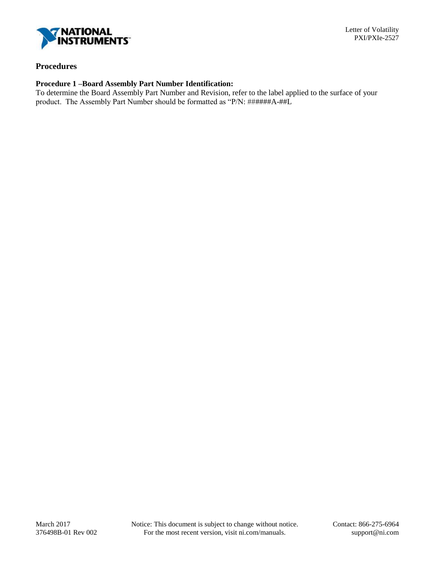

### **Procedures**

## **Procedure 1 –Board Assembly Part Number Identification:**

To determine the Board Assembly Part Number and Revision, refer to the label applied to the surface of your product. The Assembly Part Number should be formatted as "P/N: ######A-##L